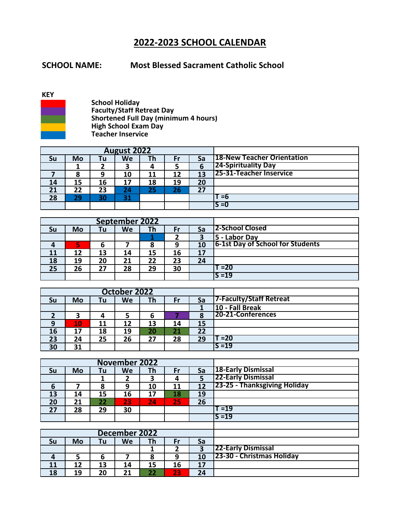## **2022-2023 SCHOOL CALENDAR**

## **SCHOOL NAME: Most Blessed Sacrament Catholic School**

## **KEY**



**School Holiday Faculty/Staff Retreat Day Shortened Full Day (minimum 4 hours) High School Exam Day Teacher Inservice**

|    |    |    | <b>August 2022</b> |    |     |    |                            |
|----|----|----|--------------------|----|-----|----|----------------------------|
| Su | Mo | Tu | We                 | тh | Fr  | Sa | 18-New Teacher Orientation |
|    |    |    |                    | 4  |     | b  | <b>24-Spirituality Day</b> |
|    |    | 9  | 10                 | 11 | 12  | 13 | 125-31-Teacher Inservice   |
| 14 | 15 | 16 | 17                 | 18 | 19  | 20 |                            |
| 21 | 22 | 23 | 24                 | 25 | 26\ | 27 |                            |
| 28 | 29 | 30 | 31                 |    |     |    | =6                         |
|    |    |    |                    |    |     |    | IS =0                      |

|    |    |    | September 2022 |    |    |    |                                  |
|----|----|----|----------------|----|----|----|----------------------------------|
| Su | Mo | Tu | We             | Th | Fr | Sa | <b>2-School Closed</b>           |
|    |    |    |                |    |    |    | 5 - Labor Day                    |
|    | 5  | b  |                |    | 9  | 10 | 6-1st Day of School for Students |
| 11 | 12 | 13 | 14             | 15 | 16 | 17 |                                  |
| 18 | 19 | 20 | 21             | 22 | 23 | 24 |                                  |
| 25 | 26 | 27 | 28             | 29 | 30 |    | T =20                            |
|    |    |    |                |    |    |    | $S = 19$                         |

|          |    |    | October 2022 |     |    |    |                          |
|----------|----|----|--------------|-----|----|----|--------------------------|
| Su       | Mo | Tu | We           | Тh. | Fr | Sa | 7-Faculty/Staff Retreat  |
|          |    |    |              |     |    |    | 10 - Fall Break          |
|          | э  |    |              |     |    |    | <b>20-21-Conferences</b> |
| $\Omega$ | 10 | 11 | 12           | 13  | 14 | 15 |                          |
| 16       |    | 18 | 19           | 20  | 21 | 22 |                          |
| 23       | 24 | 25 | 26           | 27  | 28 | 29 | T =20                    |
| 30       | 31 |    |              |     |    |    | $S = 19$                 |

|    |    |    | <b>November 2022</b> |    |                |    |                              |
|----|----|----|----------------------|----|----------------|----|------------------------------|
| Su | Mo | Tu | We                   | Th | Fr             | Sa | <b>18-Early Dismissal</b>    |
|    |    | 1  | 2                    | 3  | 4              | 5  | 22-Early Dismissal           |
| 6  |    | 8  | 9                    | 10 | 11             | 12 | 23-25 - Thanksgiving Holiday |
| 13 | 14 | 15 | 16                   | 17 | 18             | 19 |                              |
| 20 | 21 | 22 | 23                   | 24 | 25             | 26 |                              |
| 27 | 28 | 29 | 30                   |    |                |    | Г =19                        |
|    |    |    |                      |    |                |    | $S = 19$                     |
|    |    |    |                      |    |                |    |                              |
|    |    |    | <b>December 2022</b> |    |                |    |                              |
| Su | Mo | Tu | We                   | Th | Fr             | Sa |                              |
|    |    |    |                      | 1  | $\overline{2}$ | 3  | <b>22-Early Dismissal</b>    |
| 4  | 5  | 6  |                      | 8  | 9              | 10 | 23-30 - Christmas Holiday    |
| 11 | 12 | 13 | 14                   | 15 | 16             | 17 |                              |
| 18 | 19 | 20 | 21                   | 22 | 23             | 24 |                              |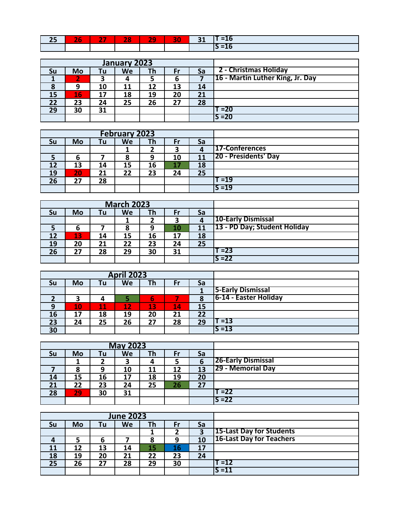| n | $-$ | æ | $\sim$ | $\sim$ | 20. |
|---|-----|---|--------|--------|-----|
|   |     |   |        |        | __  |

|    |    |    | January 2023 |    |    |    |                                  |
|----|----|----|--------------|----|----|----|----------------------------------|
| Su | Mo | Tu | We           | Th | Fr | Sa | 2 - Christmas Holiday            |
|    |    |    |              |    | ь  |    | 16 - Martin Luther King, Jr. Day |
| Ο  |    | 10 | 11           | 12 | 13 | 14 |                                  |
| 15 | 16 | 17 | 18           | 19 | 20 | 21 |                                  |
| 22 | 23 | 24 | 25           | 26 | 27 | 28 |                                  |
| 29 | 30 | 31 |              |    |    |    | T =20                            |
|    |    |    |              |    |    |    | $S = 20$                         |

|    |    |    | <b>February 2023</b> |    |    |    |                             |
|----|----|----|----------------------|----|----|----|-----------------------------|
| Su | Mo | Tu | We                   | Th | Fr | Sa |                             |
|    |    |    |                      |    | 3  | 4  | 17-Conferences              |
|    | b  |    |                      | 9  | 10 | 11 | <b>20 - Presidents' Day</b> |
| 12 | 13 | 14 | 15                   | 16 | 17 | 18 |                             |
| 19 | 20 | 21 | 22                   | 23 | 24 | 25 |                             |
| 26 | 27 | 28 |                      |    |    |    | T =19                       |
|    |    |    |                      |    |    |    | IS =19                      |

|    |    |     | <b>March 2023</b> |    |    |    |                              |
|----|----|-----|-------------------|----|----|----|------------------------------|
| Su | Mo | Tul | We                | Th | Fr | Sa |                              |
|    |    |     |                   |    | э  | 4  | 10-Early Dismissal           |
|    | 6  |     | Ō                 | 9  | 10 | 11 | 13 - PD Day; Student Holiday |
|    | 13 | 14  | 15                | 16 | 17 | 18 |                              |
| 19 | 20 | 21  | 22                | 23 | 24 | 25 |                              |
| 26 | 27 | 28  | 29                | 30 | 31 |    | T =23                        |
|    |    |     |                   |    |    |    | IS =22                       |

|           |    |               | <b>April 2023</b> |     |                        |    |                          |
|-----------|----|---------------|-------------------|-----|------------------------|----|--------------------------|
| Su        | Mo | Tu            | We                | Th. | Fr                     | Sa |                          |
|           |    |               |                   |     |                        |    | <b>5-Early Dismissal</b> |
| ◠         |    |               |                   | b   |                        |    | 6-14 - Easter Holiday    |
| $\bullet$ | 10 | $\mathbf{11}$ | 12                | 13  | $\mathbf{14}^{\prime}$ | 15 |                          |
| 16        | 17 | 18            | 19                | 20  | 21                     | 22 |                          |
| 23        | 24 | 25            | 26                | 27  | 28                     | 29 | ั =13                    |
| 30        |    |               |                   |     |                        |    | $S = 13$                 |

|    |        |    | <b>May 2023</b> |    |    |    |                           |
|----|--------|----|-----------------|----|----|----|---------------------------|
| Su | Mo     | Tu | We              | Th | Fr | Sa |                           |
|    |        |    | 3               |    |    | ь  | <b>26-Early Dismissal</b> |
|    | О<br>ο | 9  | 10              | 11 | 12 | 13 | <b>29 - Memorial Day</b>  |
| 14 | 15     | 16 | 17              | 18 | 19 | 20 |                           |
| 21 | 22     | 23 | 24              | 25 | 26 | 27 |                           |
| 28 | 29     | 30 | 31              |    |    |    | T =22                     |
|    |        |    |                 |    |    |    | S = 22                    |

|    |    |    | <b>June 2023</b> |    |    |    |                                 |
|----|----|----|------------------|----|----|----|---------------------------------|
| Su | Mo | Tu | We               | Тh | Fr | Sa |                                 |
|    |    |    |                  |    |    |    | <b>15-Last Day for Students</b> |
|    |    | 6  |                  | 8  | 9  | 10 | 16-Last Day for Teachers        |
| 11 | 12 | 13 | 14               | 15 | 16 | 17 |                                 |
| 18 | 19 | 20 | 21               | 22 | 23 | 24 |                                 |
| 25 | 26 | 27 | 28               | 29 | 30 |    | T =12                           |
|    |    |    |                  |    |    |    | $S = 11$                        |